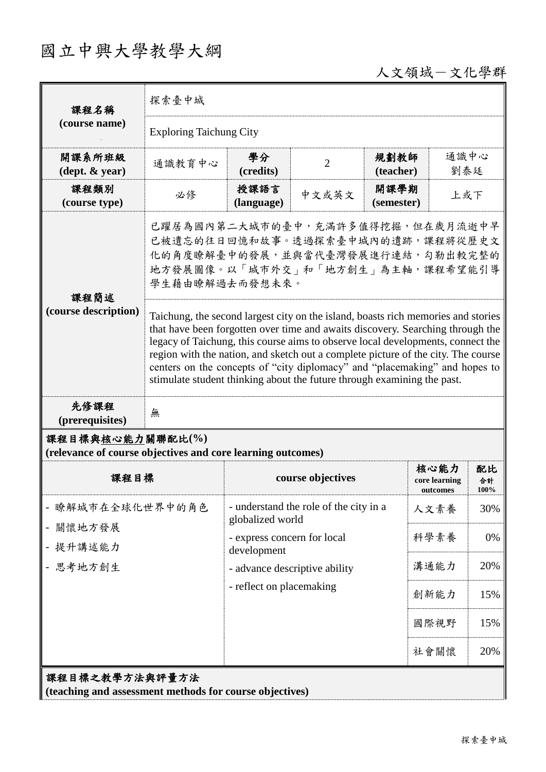## 國立中興大學教學大綱

## 人文領域-文化學群

| 課程名稱                                                                            | 探索臺中城                                                                                                                                                                                                                                                                                                                                                                                                                                                                                                                                                                                                                                                                  |                                                                             |       |                    |                                   |                  |  |  |
|---------------------------------------------------------------------------------|------------------------------------------------------------------------------------------------------------------------------------------------------------------------------------------------------------------------------------------------------------------------------------------------------------------------------------------------------------------------------------------------------------------------------------------------------------------------------------------------------------------------------------------------------------------------------------------------------------------------------------------------------------------------|-----------------------------------------------------------------------------|-------|--------------------|-----------------------------------|------------------|--|--|
| (course name)                                                                   | <b>Exploring Taichung City</b>                                                                                                                                                                                                                                                                                                                                                                                                                                                                                                                                                                                                                                         |                                                                             |       |                    |                                   |                  |  |  |
| 開課系所班級<br>$(\text{dept.} \& \text{ year})$                                      | 通識教育中心                                                                                                                                                                                                                                                                                                                                                                                                                                                                                                                                                                                                                                                                 | 學分<br>(credits)                                                             | 2     | 規劃教師<br>(teacher)  | 通識中心<br>劉泰廷                       |                  |  |  |
| 課程類別<br>(course type)                                                           | 必修                                                                                                                                                                                                                                                                                                                                                                                                                                                                                                                                                                                                                                                                     | 授課語言<br>(language)                                                          | 中文或英文 | 開課學期<br>(semester) | 上或下                               |                  |  |  |
| 課程簡述<br>(course description)                                                    | 已躍居為國內第二大城市的臺中,充滿許多值得挖掘,但在歲月流逝中早<br>已被遺忘的往日回憶和故事。透過探索臺中城內的遺跡,課程將從歷史文<br>化的角度瞭解臺中的發展,並與當代臺灣發展進行連結,勾勒出較完整的<br>地方發展圖像。以「城市外交」和「地方創生」為主軸,課程希望能引導<br>學生藉由瞭解過去而發想未來。<br>Taichung, the second largest city on the island, boasts rich memories and stories<br>that have been forgotten over time and awaits discovery. Searching through the<br>legacy of Taichung, this course aims to observe local developments, connect the<br>region with the nation, and sketch out a complete picture of the city. The course<br>centers on the concepts of "city diplomacy" and "placemaking" and hopes to<br>stimulate student thinking about the future through examining the past. |                                                                             |       |                    |                                   |                  |  |  |
| 先修課程<br>(prerequisites)                                                         | 無                                                                                                                                                                                                                                                                                                                                                                                                                                                                                                                                                                                                                                                                      |                                                                             |       |                    |                                   |                  |  |  |
| 課程目標與核心能力關聯配比(%)<br>(relevance of course objectives and core learning outcomes) |                                                                                                                                                                                                                                                                                                                                                                                                                                                                                                                                                                                                                                                                        |                                                                             |       |                    |                                   |                  |  |  |
| 課程目標                                                                            |                                                                                                                                                                                                                                                                                                                                                                                                                                                                                                                                                                                                                                                                        | course objectives                                                           |       |                    | 核心能力<br>core learning<br>outcomes | 配比<br>合計<br>100% |  |  |
| 瞭解城市在全球化世界中的角色<br>關懷地方發展<br>提升講述能力<br>思考地方創生                                    |                                                                                                                                                                                                                                                                                                                                                                                                                                                                                                                                                                                                                                                                        | - understand the role of the city in a<br>globalized world                  |       |                    | 人文素養                              | 30%              |  |  |
|                                                                                 |                                                                                                                                                                                                                                                                                                                                                                                                                                                                                                                                                                                                                                                                        | - express concern for local<br>development<br>- advance descriptive ability |       |                    | 科學素養                              | 0%               |  |  |
|                                                                                 |                                                                                                                                                                                                                                                                                                                                                                                                                                                                                                                                                                                                                                                                        |                                                                             |       |                    | 溝通能力                              | 20%              |  |  |
|                                                                                 |                                                                                                                                                                                                                                                                                                                                                                                                                                                                                                                                                                                                                                                                        | - reflect on placemaking                                                    |       |                    | 創新能力                              | 15%              |  |  |
|                                                                                 |                                                                                                                                                                                                                                                                                                                                                                                                                                                                                                                                                                                                                                                                        |                                                                             |       |                    | 國際視野                              | 15%              |  |  |
|                                                                                 |                                                                                                                                                                                                                                                                                                                                                                                                                                                                                                                                                                                                                                                                        |                                                                             |       |                    | 社會關懷                              | 20%              |  |  |
| 課程目標之教學方法與評量方法<br>(teaching and assessment methods for course objectives)       |                                                                                                                                                                                                                                                                                                                                                                                                                                                                                                                                                                                                                                                                        |                                                                             |       |                    |                                   |                  |  |  |